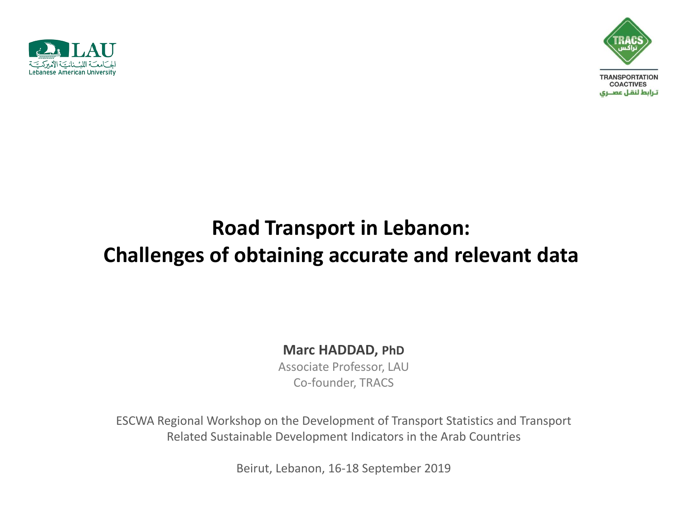



# **Road Transport in Lebanon: Challenges of obtaining accurate and relevant data**

#### **Marc HADDAD, PhD**

Associate Professor, LAU Co-founder, TRACS

ESCWA Regional Workshop on the Development of Transport Statistics and Transport Related Sustainable Development Indicators in the Arab Countries

Beirut, Lebanon, 16-18 September 2019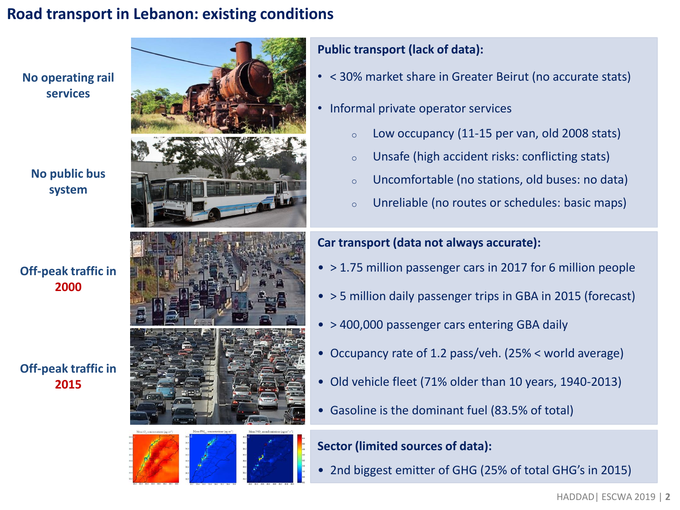### **Road transport in Lebanon: existing conditions**



#### **No public bus system**

#### **Off-peak traffic in 2000**

#### **Off-peak traffic in 2015**





#### **Public transport (lack of data):**

- < 30% market share in Greater Beirut (no accurate stats)
- Informal private operator services
	- $\circ$  Low occupancy (11-15 per van, old 2008 stats)
	- o Unsafe (high accident risks: conflicting stats)
	- o Uncomfortable (no stations, old buses: no data)
	- o Unreliable (no routes or schedules: basic maps)

#### **Car transport (data not always accurate):**

- > 1.75 million passenger cars in 2017 for 6 million people
- > 5 million daily passenger trips in GBA in 2015 (forecast)
- > 400,000 passenger cars entering GBA daily
- Occupancy rate of 1.2 pass/veh. (25% < world average)
- Old vehicle fleet (71% older than 10 years, 1940-2013)
- Gasoline is the dominant fuel (83.5% of total)

#### **Sector (limited sources of data):**

• 2nd biggest emitter of GHG (25% of total GHG's in 2015)

HADDAD| ESCWA 2019 | **2**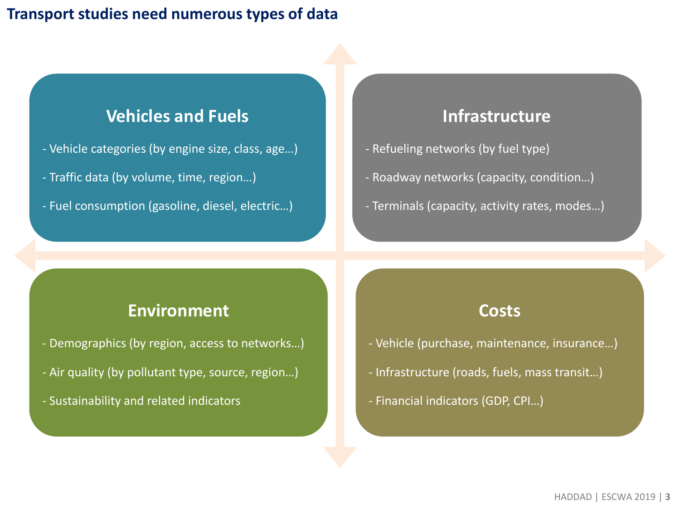### **Transport studies need numerous types of data**

### **Vehicles and Fuels**

- Vehicle categories (by engine size, class, age…)
- Traffic data (by volume, time, region…)
- Fuel consumption (gasoline, diesel, electric…)

### **Infrastructure**

- Refueling networks (by fuel type)
- Roadway networks (capacity, condition…)
- Terminals (capacity, activity rates, modes…)

### **Environment**

- Demographics (by region, access to networks…)
- Air quality (by pollutant type, source, region…)
- Sustainability and related indicators

#### **Costs**

- Vehicle (purchase, maintenance, insurance…)
- Infrastructure (roads, fuels, mass transit…)
- Financial indicators (GDP, CPI…)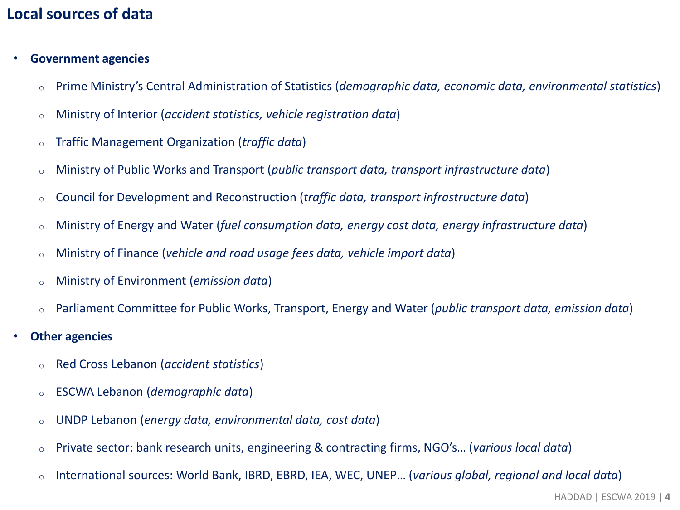### **Local sources of data**

- **Government agencies**
	- o Prime Ministry's Central Administration of Statistics (*demographic data, economic data, environmental statistics*)
	- o Ministry of Interior (*accident statistics, vehicle registration data*)
	- o Traffic Management Organization (*traffic data*)
	- o Ministry of Public Works and Transport (*public transport data, transport infrastructure data*)
	- o Council for Development and Reconstruction (*traffic data, transport infrastructure data*)
	- o Ministry of Energy and Water (*fuel consumption data, energy cost data, energy infrastructure data*)
	- o Ministry of Finance (*vehicle and road usage fees data, vehicle import data*)
	- o Ministry of Environment (*emission data*)
	- o Parliament Committee for Public Works, Transport, Energy and Water (*public transport data, emission data*)
- **Other agencies**
	- o Red Cross Lebanon (*accident statistics*)
	- o ESCWA Lebanon (*demographic data*)
	- o UNDP Lebanon (*energy data, environmental data, cost data*)
	- o Private sector: bank research units, engineering & contracting firms, NGO's… (*various local data*)
	- o International sources: World Bank, IBRD, EBRD, IEA, WEC, UNEP… (*various global, regional and local data*)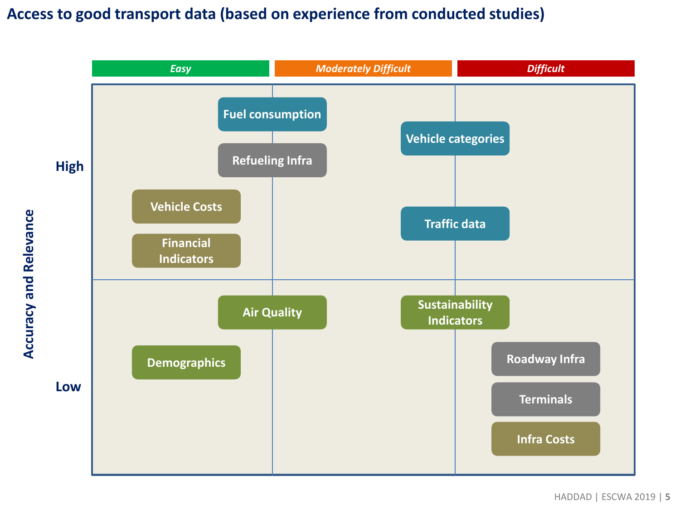### **Access to good transport data (based on experience from conducted studies)**

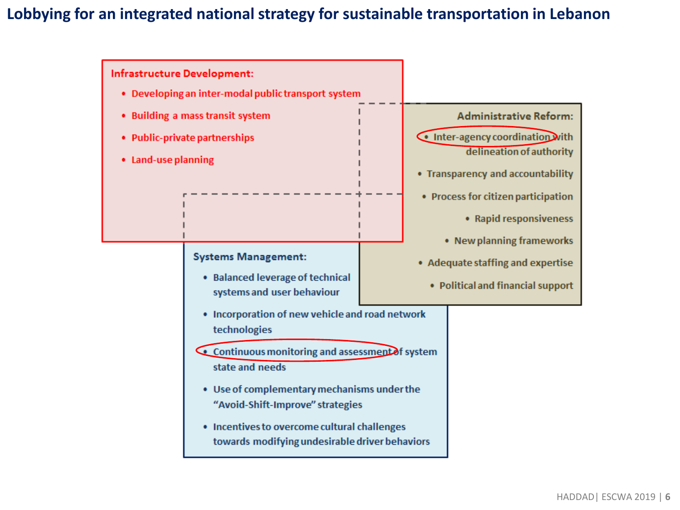### **Lobbying for an integrated national strategy for sustainable transportation in Lebanon**